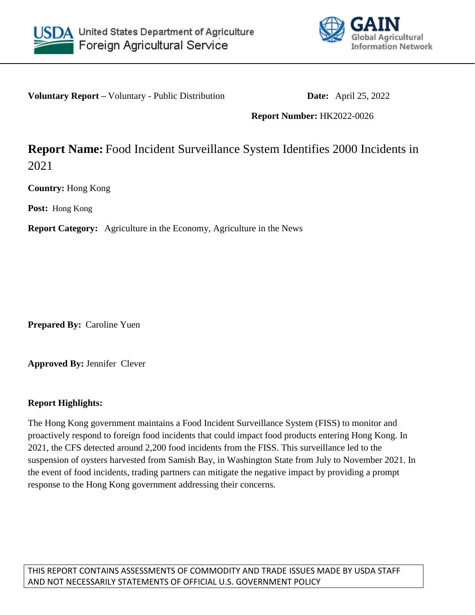



**Voluntary Report –** Voluntary - Public Distribution **Date:** April 25, 2022

# **Report Number:** HK2022-0026

# **Report Name:** Food Incident Surveillance System Identifies 2000 Incidents in 2021

**Country:** Hong Kong

**Post:** Hong Kong

**Report Category:** Agriculture in the Economy, Agriculture in the News

**Prepared By:** Caroline Yuen

**Approved By:** Jennifer Clever

# **Report Highlights:**

The Hong Kong government maintains a Food Incident Surveillance System (FISS) to monitor and proactively respond to foreign food incidents that could impact food products entering Hong Kong. In 2021, the CFS detected around 2,200 food incidents from the FISS. This surveillance led to the suspension of oysters harvested from Samish Bay, in Washington State from July to November 2021. In the event of food incidents, trading partners can mitigate the negative impact by providing a prompt response to the Hong Kong government addressing their concerns.

THIS REPORT CONTAINS ASSESSMENTS OF COMMODITY AND TRADE ISSUES MADE BY USDA STAFF AND NOT NECESSARILY STATEMENTS OF OFFICIAL U.S. GOVERNMENT POLICY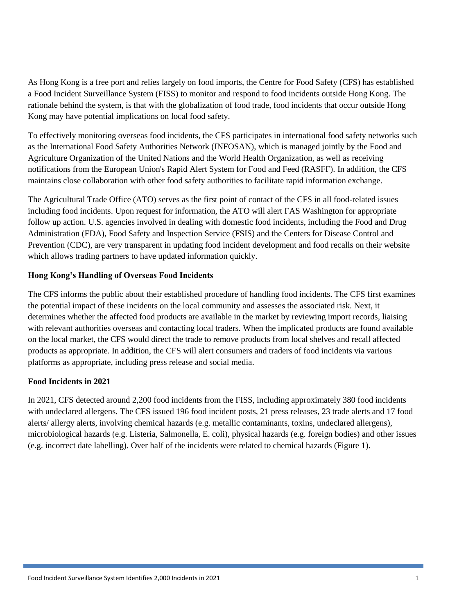As Hong Kong is a free port and relies largely on food imports, the Centre for Food Safety (CFS) has established a Food Incident Surveillance System (FISS) to monitor and respond to food incidents outside Hong Kong. The rationale behind the system, is that with the globalization of food trade, food incidents that occur outside Hong Kong may have potential implications on local food safety.

To effectively monitoring overseas food incidents, the CFS participates in international food safety networks such as the International Food Safety Authorities Network (INFOSAN), which is managed jointly by the Food and Agriculture Organization of the United Nations and the World Health Organization, as well as receiving notifications from the European Union's Rapid Alert System for Food and Feed (RASFF). In addition, the CFS maintains close collaboration with other food safety authorities to facilitate rapid information exchange.

The Agricultural Trade Office (ATO) serves as the first point of contact of the CFS in all food-related issues including food incidents. Upon request for information, the ATO will alert FAS Washington for appropriate follow up action. U.S. agencies involved in dealing with domestic food incidents, including the Food and Drug Administration (FDA), Food Safety and Inspection Service (FSIS) and the Centers for Disease Control and Prevention (CDC), are very transparent in updating food incident development and food recalls on their website which allows trading partners to have updated information quickly.

## **Hong Kong's Handling of Overseas Food Incidents**

The CFS informs the public about their established procedure of handling food incidents. The CFS first examines the potential impact of these incidents on the local community and assesses the associated risk. Next, it determines whether the affected food products are available in the market by reviewing import records, liaising with relevant authorities overseas and contacting local traders. When the implicated products are found available on the local market, the CFS would direct the trade to remove products from local shelves and recall affected products as appropriate. In addition, the CFS will alert consumers and traders of food incidents via various platforms as appropriate, including press release and social media.

#### **Food Incidents in 2021**

In 2021, CFS detected around 2,200 food incidents from the FISS, including approximately 380 food incidents with undeclared allergens. The CFS issued 196 food incident posts, 21 press releases, 23 trade alerts and 17 food alerts/ allergy alerts, involving chemical hazards (e.g. metallic contaminants, toxins, undeclared allergens), microbiological hazards (e.g. Listeria, Salmonella, E. coli), physical hazards (e.g. foreign bodies) and other issues (e.g. incorrect date labelling). Over half of the incidents were related to chemical hazards (Figure 1).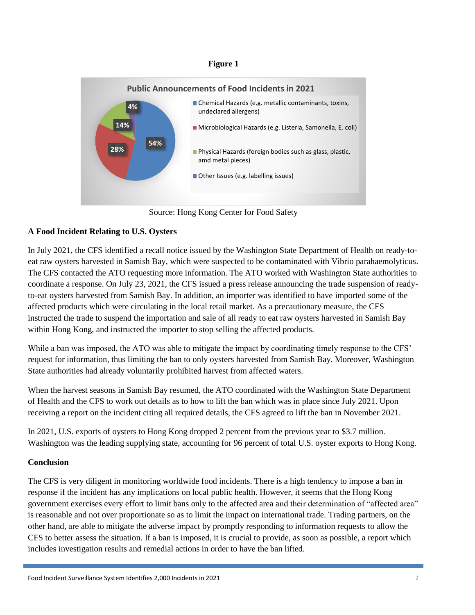#### **Figure 1**



Source: Hong Kong Center for Food Safety

## **A Food Incident Relating to U.S. Oysters**

In July 2021, the CFS identified a recall notice issued by the Washington State Department of Health on ready-toeat raw oysters harvested in Samish Bay, which were suspected to be contaminated with Vibrio parahaemolyticus. The CFS contacted the ATO requesting more information. The ATO worked with Washington State authorities to coordinate a response. On July 23, 2021, the CFS issued a press release announcing the trade suspension of readyto-eat oysters harvested from Samish Bay. In addition, an importer was identified to have imported some of the affected products which were circulating in the local retail market. As a precautionary measure, the CFS instructed the trade to suspend the importation and sale of all ready to eat raw oysters harvested in Samish Bay within Hong Kong, and instructed the importer to stop selling the affected products.

While a ban was imposed, the ATO was able to mitigate the impact by coordinating timely response to the CFS' request for information, thus limiting the ban to only oysters harvested from Samish Bay. Moreover, Washington State authorities had already voluntarily prohibited harvest from affected waters.

When the harvest seasons in Samish Bay resumed, the ATO coordinated with the Washington State Department of Health and the CFS to work out details as to how to lift the ban which was in place since July 2021. Upon receiving a report on the incident citing all required details, the CFS agreed to lift the ban in November 2021.

In 2021, U.S. exports of oysters to Hong Kong dropped 2 percent from the previous year to \$3.7 million. Washington was the leading supplying state, accounting for 96 percent of total U.S. oyster exports to Hong Kong.

## **Conclusion**

The CFS is very diligent in monitoring worldwide food incidents. There is a high tendency to impose a ban in response if the incident has any implications on local public health. However, it seems that the Hong Kong government exercises every effort to limit bans only to the affected area and their determination of "affected area" is reasonable and not over proportionate so as to limit the impact on international trade. Trading partners, on the other hand, are able to mitigate the adverse impact by promptly responding to information requests to allow the CFS to better assess the situation. If a ban is imposed, it is crucial to provide, as soon as possible, a report which includes investigation results and remedial actions in order to have the ban lifted.